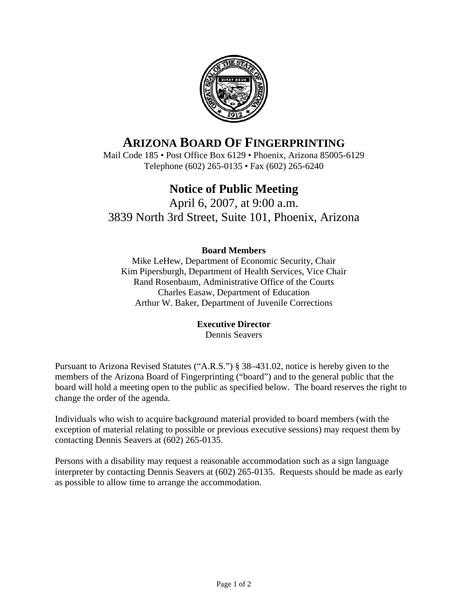

# **ARIZONA BOARD OF FINGERPRINTING**

Mail Code 185 • Post Office Box 6129 • Phoenix, Arizona 85005-6129 Telephone (602) 265-0135 • Fax (602) 265-6240

# **Notice of Public Meeting**

April 6, 2007, at 9:00 a.m. 3839 North 3rd Street, Suite 101, Phoenix, Arizona

#### **Board Members**

Mike LeHew, Department of Economic Security, Chair Kim Pipersburgh, Department of Health Services, Vice Chair Rand Rosenbaum, Administrative Office of the Courts Charles Easaw, Department of Education Arthur W. Baker, Department of Juvenile Corrections

#### **Executive Director**

Dennis Seavers

Pursuant to Arizona Revised Statutes ("A.R.S.") § 38–431.02, notice is hereby given to the members of the Arizona Board of Fingerprinting ("board") and to the general public that the board will hold a meeting open to the public as specified below. The board reserves the right to change the order of the agenda.

Individuals who wish to acquire background material provided to board members (with the exception of material relating to possible or previous executive sessions) may request them by contacting Dennis Seavers at (602) 265-0135.

Persons with a disability may request a reasonable accommodation such as a sign language interpreter by contacting Dennis Seavers at (602) 265-0135. Requests should be made as early as possible to allow time to arrange the accommodation.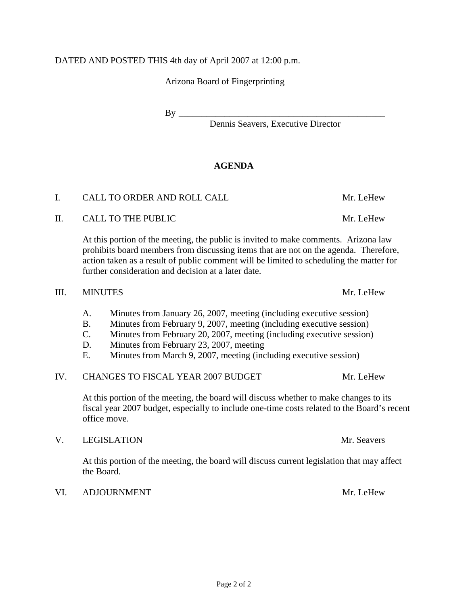#### DATED AND POSTED THIS 4th day of April 2007 at 12:00 p.m.

Arizona Board of Fingerprinting

 $\rm\,By\,\,$ 

Dennis Seavers, Executive Director

# **AGENDA**

# I. CALL TO ORDER AND ROLL CALL THE MILL CALL MILL CHEW

II. CALL TO THE PUBLIC Mr. LeHew

 At this portion of the meeting, the public is invited to make comments. Arizona law prohibits board members from discussing items that are not on the agenda. Therefore, action taken as a result of public comment will be limited to scheduling the matter for further consideration and decision at a later date.

#### III. MINUTES Mr. LeHew

- A. Minutes from January 26, 2007, meeting (including executive session)
- B. Minutes from February 9, 2007, meeting (including executive session)
- C. Minutes from February 20, 2007, meeting (including executive session)
- D. Minutes from February 23, 2007, meeting
- E. Minutes from March 9, 2007, meeting (including executive session)

## IV. CHANGES TO FISCAL YEAR 2007 BUDGET Mr. LeHew

 At this portion of the meeting, the board will discuss whether to make changes to its fiscal year 2007 budget, especially to include one-time costs related to the Board's recent office move.

#### V. LEGISLATION Mr. Seavers

 At this portion of the meeting, the board will discuss current legislation that may affect the Board.

#### VI. ADJOURNMENT Mr. LeHew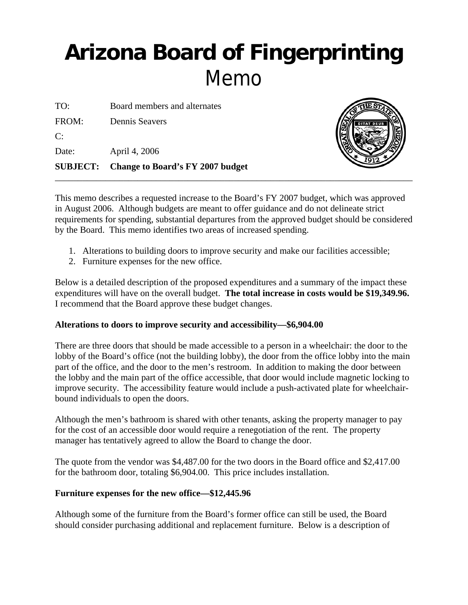# **Arizona Board of Fingerprinting** Memo

|       | <b>SUBJECT:</b> Change to Board's FY 2007 budget |
|-------|--------------------------------------------------|
| Date: | April 4, 2006                                    |
| C:    |                                                  |
| FROM: | Dennis Seavers                                   |
| TO:   | Board members and alternates                     |



This memo describes a requested increase to the Board's FY 2007 budget, which was approved in August 2006. Although budgets are meant to offer guidance and do not delineate strict requirements for spending, substantial departures from the approved budget should be considered by the Board. This memo identifies two areas of increased spending.

- 1. Alterations to building doors to improve security and make our facilities accessible;
- 2. Furniture expenses for the new office.

Below is a detailed description of the proposed expenditures and a summary of the impact these expenditures will have on the overall budget. **The total increase in costs would be \$19,349.96.** I recommend that the Board approve these budget changes.

## **Alterations to doors to improve security and accessibility—\$6,904.00**

There are three doors that should be made accessible to a person in a wheelchair: the door to the lobby of the Board's office (not the building lobby), the door from the office lobby into the main part of the office, and the door to the men's restroom. In addition to making the door between the lobby and the main part of the office accessible, that door would include magnetic locking to improve security. The accessibility feature would include a push-activated plate for wheelchairbound individuals to open the doors.

Although the men's bathroom is shared with other tenants, asking the property manager to pay for the cost of an accessible door would require a renegotiation of the rent. The property manager has tentatively agreed to allow the Board to change the door.

The quote from the vendor was \$4,487.00 for the two doors in the Board office and \$2,417.00 for the bathroom door, totaling \$6,904.00. This price includes installation.

## **Furniture expenses for the new office—\$12,445.96**

Although some of the furniture from the Board's former office can still be used, the Board should consider purchasing additional and replacement furniture. Below is a description of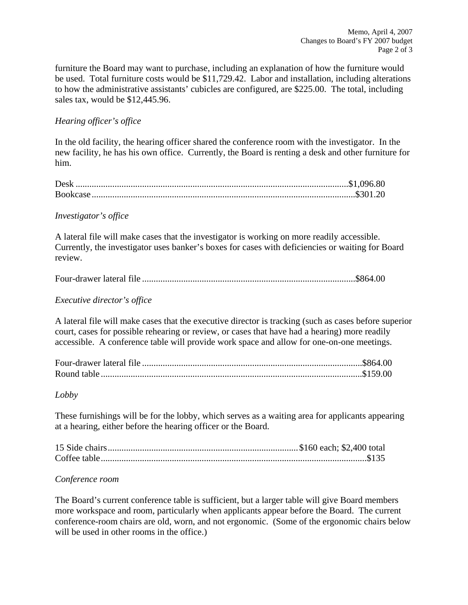furniture the Board may want to purchase, including an explanation of how the furniture would be used. Total furniture costs would be \$11,729.42. Labor and installation, including alterations to how the administrative assistants' cubicles are configured, are \$225.00. The total, including sales tax, would be \$12,445.96.

#### *Hearing officer's office*

In the old facility, the hearing officer shared the conference room with the investigator. In the new facility, he has his own office. Currently, the Board is renting a desk and other furniture for him.

#### *Investigator's office*

A lateral file will make cases that the investigator is working on more readily accessible. Currently, the investigator uses banker's boxes for cases with deficiencies or waiting for Board review.

|--|--|

#### *Executive director's office*

A lateral file will make cases that the executive director is tracking (such as cases before superior court, cases for possible rehearing or review, or cases that have had a hearing) more readily accessible. A conference table will provide work space and allow for one-on-one meetings.

#### *Lobby*

These furnishings will be for the lobby, which serves as a waiting area for applicants appearing at a hearing, either before the hearing officer or the Board.

#### *Conference room*

The Board's current conference table is sufficient, but a larger table will give Board members more workspace and room, particularly when applicants appear before the Board. The current conference-room chairs are old, worn, and not ergonomic. (Some of the ergonomic chairs below will be used in other rooms in the office.)